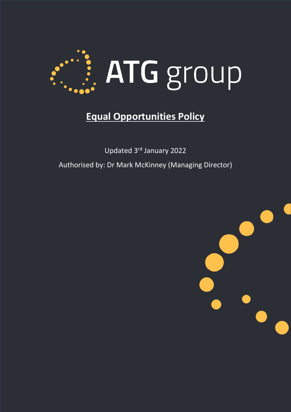

# **Equal Opportunities Policy**

Updated 3rd January 2022 Authorised by: Dr Mark McKinney (Managing Director)

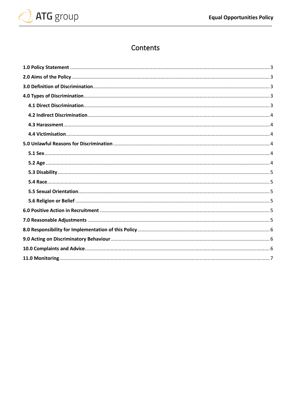

# Contents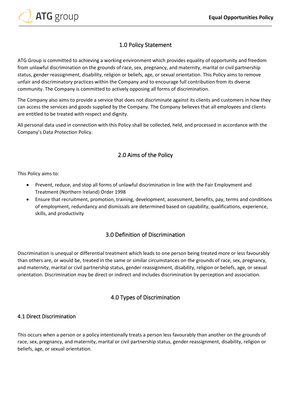

# 1.0 Policy Statement

<span id="page-2-0"></span>ATG Group is committed to achieving a working environment which provides equality of opportunity and freedom from unlawful discrimination on the grounds of race, sex, pregnancy, and maternity, marital or civil partnership status, gender reassignment, disability, religion or beliefs, age, or sexual orientation. This Policy aims to remove unfair and discriminatory practices within the Company and to encourage full contribution from its diverse community. The Company is committed to actively opposing all forms of discrimination.

The Company also aims to provide a service that does not discriminate against its clients and customers in how they can access the services and goods supplied by the Company. The Company believes that all employees and clients are entitled to be treated with respect and dignity.

All personal data used in connection with this Policy shall be collected, held, and processed in accordance with the Company's Data Protection Policy.

# 2.0 Aims of the Policy

<span id="page-2-1"></span>This Policy aims to:

- Prevent, reduce, and stop all forms of unlawful discrimination in line with the Fair Employment and Treatment (Northern Ireland) Order 1998
- Ensure that recruitment, promotion, training, development, assessment, benefits, pay, terms and conditions of employment, redundancy and dismissals are determined based on capability, qualifications, experience, skills, and productivity

# 3.0 Definition of Discrimination

<span id="page-2-2"></span>Discrimination is unequal or differential treatment which leads to one person being treated more or less favourably than others are, or would be, treated in the same or similar circumstances on the grounds of race, sex, pregnancy, and maternity, marital or civil partnership status, gender reassignment, disability, religion or beliefs, age, or sexual orientation. Discrimination may be direct or indirect and includes discrimination by perception and association.

# 4.0 Types of Discrimination

#### <span id="page-2-4"></span><span id="page-2-3"></span>4.1 Direct Discrimination

This occurs when a person or a policy intentionally treats a person less favourably than another on the grounds of race, sex, pregnancy, and maternity, marital or civil partnership status, gender reassignment, disability, religion or beliefs, age, or sexual orientation.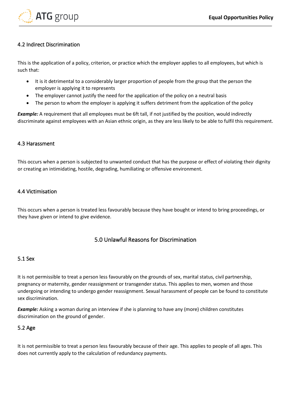

#### <span id="page-3-0"></span>4.2 Indirect Discrimination

This is the application of a policy, criterion, or practice which the employer applies to all employees, but which is such that:

- It is it detrimental to a considerably larger proportion of people from the group that the person the employer is applying it to represents
- The employer cannot justify the need for the application of the policy on a neutral basis
- The person to whom the employer is applying it suffers detriment from the application of the policy

*Example:* A requirement that all employees must be 6ft tall, if not justified by the position, would indirectly discriminate against employees with an Asian ethnic origin, as they are less likely to be able to fulfil this requirement.

#### <span id="page-3-1"></span>4.3 Harassment

This occurs when a person is subjected to unwanted conduct that has the purpose or effect of violating their dignity or creating an intimidating, hostile, degrading, humiliating or offensive environment.

#### <span id="page-3-2"></span>4.4 Victimisation

This occurs when a person is treated less favourably because they have bought or intend to bring proceedings, or they have given or intend to give evidence.

# 5.0 Unlawful Reasons for Discrimination

#### <span id="page-3-4"></span><span id="page-3-3"></span>5.1 Sex

It is not permissible to treat a person less favourably on the grounds of sex, marital status, civil partnership, pregnancy or maternity, gender reassignment or transgender status. This applies to men, women and those undergoing or intending to undergo gender reassignment. Sexual harassment of people can be found to constitute sex discrimination.

*Example:* Asking a woman during an interview if she is planning to have any (more) children constitutes discrimination on the ground of gender.

#### <span id="page-3-5"></span>5.2 Age

It is not permissible to treat a person less favourably because of their age. This applies to people of all ages. This does not currently apply to the calculation of redundancy payments.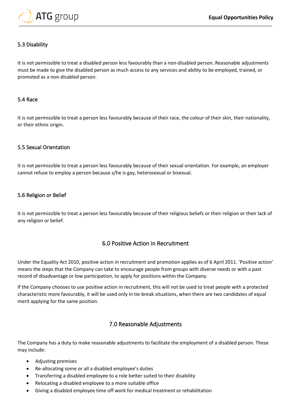

#### <span id="page-4-0"></span>5.3 Disability

It is not permissible to treat a disabled person less favourably than a non-disabled person. Reasonable adjustments must be made to give the disabled person as much access to any services and ability to be employed, trained, or promoted as a non-disabled person.

#### <span id="page-4-1"></span>5.4 Race

It is not permissible to treat a person less favourably because of their race, the colour of their skin, their nationality, or their ethnic origin.

#### <span id="page-4-2"></span>5.5 Sexual Orientation

It is not permissible to treat a person less favourably because of their sexual orientation. For example, an employer cannot refuse to employ a person because s/he is gay, heterosexual or bisexual.

#### <span id="page-4-3"></span>5.6 Religion or Belief

It is not permissible to treat a person less favourably because of their religious beliefs or their religion or their lack of any religion or belief.

#### 6.0 Positive Action in Recruitment

<span id="page-4-4"></span>Under the Equality Act 2010, positive action in recruitment and promotion applies as of 6 April 2011. 'Positive action' means the steps that the Company can take to encourage people from groups with diverse needs or with a past record of disadvantage or low participation, to apply for positions within the Company.

If the Company chooses to use positive action in recruitment, this will not be used to treat people with a protected characteristic more favourably, it will be used only in tie-break situations, when there are two candidates of equal merit applying for the same position.

#### 7.0 Reasonable Adjustments

<span id="page-4-5"></span>The Company has a duty to make reasonable adjustments to facilitate the employment of a disabled person. These may include:

- Adjusting premises
- Re-allocating some or all a disabled employee's duties
- Transferring a disabled employee to a role better suited to their disability
- Relocating a disabled employee to a more suitable office
- Giving a disabled employee time off work for medical treatment or rehabilitation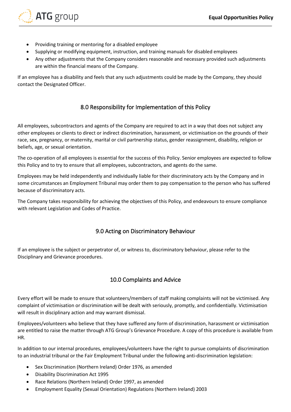

- Providing training or mentoring for a disabled employee
- Supplying or modifying equipment, instruction, and training manuals for disabled employees
- Any other adjustments that the Company considers reasonable and necessary provided such adjustments are within the financial means of the Company.

If an employee has a disability and feels that any such adjustments could be made by the Company, they should contact the Designated Officer.

# 8.0 Responsibility for Implementation of this Policy

<span id="page-5-0"></span>All employees, subcontractors and agents of the Company are required to act in a way that does not subject any other employees or clients to direct or indirect discrimination, harassment, or victimisation on the grounds of their race, sex, pregnancy, or maternity, marital or civil partnership status, gender reassignment, disability, religion or beliefs, age, or sexual orientation.

The co-operation of all employees is essential for the success of this Policy. Senior employees are expected to follow this Policy and to try to ensure that all employees, subcontractors, and agents do the same.

Employees may be held independently and individually liable for their discriminatory acts by the Company and in some circumstances an Employment Tribunal may order them to pay compensation to the person who has suffered because of discriminatory acts.

The Company takes responsibility for achieving the objectives of this Policy, and endeavours to ensure compliance with relevant Legislation and Codes of Practice.

# 9.0 Acting on Discriminatory Behaviour

<span id="page-5-1"></span>If an employee is the subject or perpetrator of, or witness to, discriminatory behaviour, please refer to the Disciplinary and Grievance procedures.

# 10.0 Complaints and Advice

<span id="page-5-2"></span>Every effort will be made to ensure that volunteers/members of staff making complaints will not be victimised. Any complaint of victimisation or discrimination will be dealt with seriously, promptly, and confidentially. Victimisation will result in disciplinary action and may warrant dismissal.

Employees/volunteers who believe that they have suffered any form of discrimination, harassment or victimisation are entitled to raise the matter through ATG Group's Grievance Procedure. A copy of this procedure is available from HR.

In addition to our internal procedures, employees/volunteers have the right to pursue complaints of discrimination to an industrial tribunal or the Fair Employment Tribunal under the following anti-discrimination legislation:

- Sex Discrimination (Northern Ireland) Order 1976, as amended
- Disability Discrimination Act 1995
- Race Relations (Northern Ireland) Order 1997, as amended
- Employment Equality (Sexual Orientation) Regulations (Northern Ireland) 2003